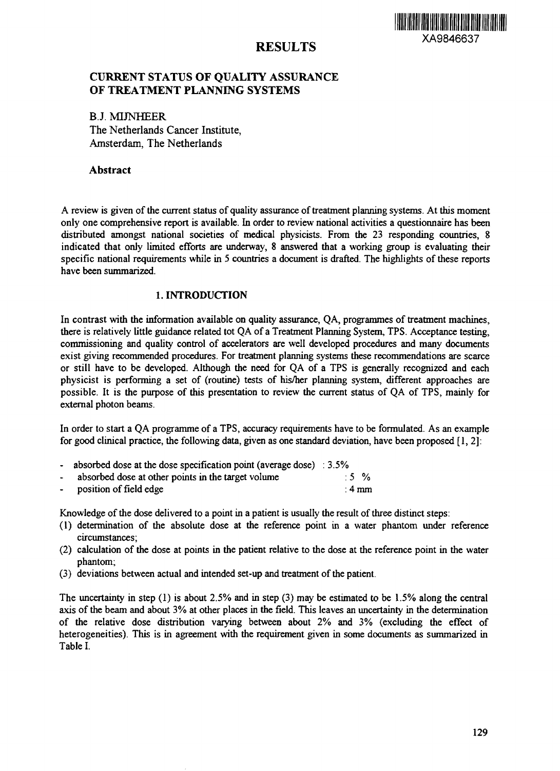<u> III di kacamatan ing Kabupatèn III di Kabupatèn III di Kabupatèn III di Kabupatèn III di Kabupatèn III di Ka</u>

#### RESULTS  $\frac{1}{2}$   $\frac{1}{2}$   $\frac{1}{2}$   $\frac{1}{2}$   $\frac{1}{2}$   $\frac{1}{2}$   $\frac{1}{2}$   $\frac{1}{2}$   $\frac{1}{2}$   $\frac{1}{2}$   $\frac{1}{2}$   $\frac{1}{2}$   $\frac{1}{2}$   $\frac{1}{2}$   $\frac{1}{2}$   $\frac{1}{2}$   $\frac{1}{2}$   $\frac{1}{2}$   $\frac{1}{2}$   $\frac{1}{2}$   $\frac{1}{2}$   $\frac{1}{2}$

## **CURRENT STATUS OF QUALITY ASSURANCE OF TREATMENT PLANNING SYSTEMS**

**B.J. MINHEER** The Netherlands Cancer Institute, Amsterdam, The Netherlands

### **Abstract**

A review is given of the current status of quality assurance of treatment planning systems. At this moment only one comprehensive report is available. In order to review national activities a questionnaire has been distributed amongst national societies of medical physicists. From the 23 responding countries, 8 indicated that only limited efforts are underway, 8 answered that a working group is evaluating their specific national requirements while in 5 countries a document is drafted. The highlights of these reports have been summarized.

### 1. INTRODUCTION

In contrast with the information available on quality assurance, QA, programmes of treatment machines, there is relatively little guidance related tot QA of a Treatment Planning System, TPS. Acceptance testing, commissioning and quality control of accelerators are well developed procedures and many documents exist giving recommended procedures. For treatment planning systems these recommendations are scarce or still have to be developed. Although the need for QA of a TPS is generally recognized and each physicist is performing a set of (routine) tests of his/her planning system, different approaches are possible. It is the purpose of this presentation to review the current status of QA of TPS, mainly for external photon beams.

In order to start a QA programme of a TPS, accuracy requirements have to be formulated. As an example for good clinical practice, the following data, given as one standard deviation, have been proposed [1,2]:

- absorbed dose at the dose specification point (average dose) : 3.5%
- $\ddot{\phantom{0}}$ absorbed dose at other points in the target volume : 5 %
- position of field edge :4 mm

Knowledge of the dose delivered to a point in a patient is usually the result of three distinct steps:

- (1) determination of the absolute dose at the reference point in a water phantom under reference circumstances;
- (2) calculation of the dose at points in the patient relative to the dose at the reference point in the water phantom;
- (3) deviations between actual and intended set-up and treatment of the patient.

The uncertainty in step (1) is about 2.5% and in step (3) may be estimated to be 1.5% along the central axis of the beam and about 3% at other places in the field. This leaves an uncertainty in the determination of the relative dose distribution varying between about 2% and 3% (excluding the effect of heterogeneities). This is in agreement with the requirement given in some documents as summarized in Table I.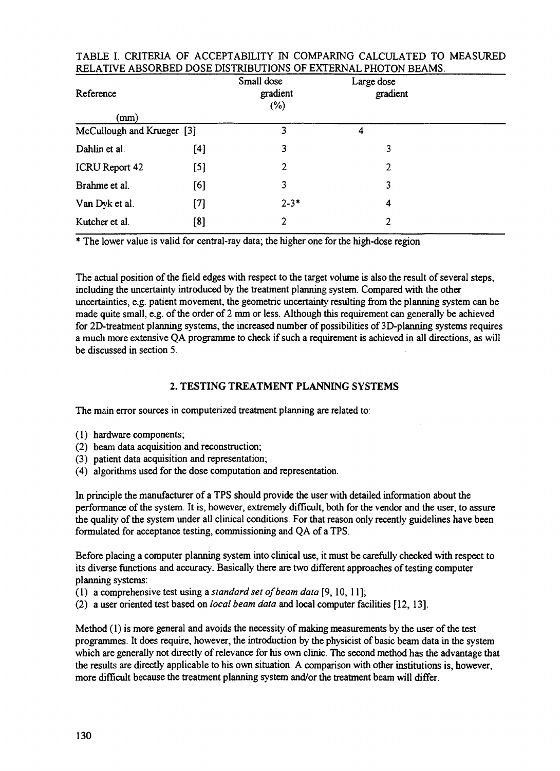| Reference                  |       | Small dose<br>gradient<br>$(\%)$ | Large dose<br>gradient |  |
|----------------------------|-------|----------------------------------|------------------------|--|
| (mm)                       |       |                                  |                        |  |
| McCullough and Krueger [3] |       | 3                                | 4                      |  |
| Dahlin et al.              | [4]   | 3                                | 3                      |  |
| ICRU Report 42             | [5]   | 2                                | $\overline{2}$         |  |
| Brahme et al.              | [6]   | 3                                | 3                      |  |
| Van Dyk et al.             | $[7]$ | $2 - 3*$                         | 4                      |  |
| Kutcher et al.             | [8]   | 2                                | 2                      |  |

### TABLE I. CRITERIA OF ACCEPTABILITY IN COMPARING CALCULATED TO MEASURED RELATIVE ABSORBED DOSE DISTRIBUTIONS OF EXTERNAL PHOTON BEAMS.

The lower value is valid for central-ray data; the higher one for the high-dose region

The actual position of the field edges with respect to the target volume is also the result of several steps, including the uncertainty introduced by the treatment planning system. Compared with the other uncertainties, e.g. patient movement, the geometric uncertainty resulting from the planning system can be made quite small, e.g. of the order of 2 mm or less. Although this requirement can generally be achieved for 2D-treatment planning systems, the increased number of possibilities of 3D-planning systems requires a much more extensive QA programme to check if such a requirement is achieved in all directions, as will be discussed in section 5.

### 2. TESTING TREATMENT PLANNING SYSTEMS

The main error sources in computerized treatment planning are related to:

- (1) hardware components;
- (2) beam data acquisition and reconstruction;
- (3) patient data acquisition and representation;
- (4) algorithms used for the dose computation and representation.

In principle the manufacturer of a TPS should provide the user with detailed information about the performance of the system. It is, however, extremely difficult, both for the vendor and the user, to assure the quality of the system under all clinical conditions. For that reason only recently guidelines have been formulated for acceptance testing, commissioning and QA of a TPS.

Before placing a computer planning system into clinical use, it must be carefully checked with respect to its diverse functions and accuracy. Basically there are two different approaches of testing computer planning systems:

- (1) a comprehensive test using a *standard set of beam data* [9,10, 11];
- (2) a user oriented test based on *local beam data* and local computer facilities [12, 13].

Method (1) is more general and avoids the necessity of making measurements by the user of the test programmes. It does require, however, the introduction by the physicist of basic beam data in the system which are generally not directly of relevance for his own clinic. The second method has the advantage that the results are directly applicable to his own situation. A comparison with other institutions is, however, more difficult because the treatment planning system and/or the treatment beam will differ.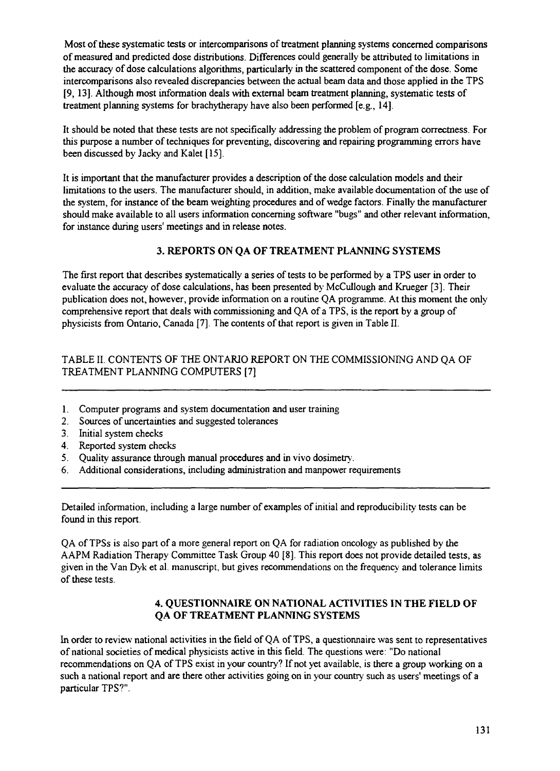Most of these systematic tests or intercomparisons of treatment planning systems concerned comparisons of measured and predicted dose distributions. Differences could generally be attributed to limitations in the accuracy of dose calculations algorithms, particularly in the scattered component of the dose. Some intercomparisons also revealed discrepancies between the actual beam data and those applied in the TPS [9, 13]. Although most information deals with external beam treatment planning, systematic tests of treatment planning systems for brachytherapy have also been performed [e.g., 14],

It should be noted that these tests are not specifically addressing the problem of program correctness. For this purpose a number of techniques for preventing, discovering and repairing programming errors have been discussed by Jacky and Kalet [15],

It is important that the manufacturer provides a description of the dose calculation models and their limitations to the users. The manufacturer should, in addition, make available documentation of the use of the system, for instance of the beam weighting procedures and of wedge factors. Finally the manufacturer should make available to all users information concerning software "bugs" and other relevant information, for instance during users' meetings and in release notes.

# **3. REPORTS ON QA OF TREATMENT PLANNING SYSTEMS**

The first report that describes systematically a series of tests to be performed by a TPS user in order to evaluate the accuracy of dose calculations, has been presented by McCullough and Krueger [3]. Their publication does not, however, provide information on a routine QA programme. At this moment the only comprehensive report that deals with commissioning and QA of a TPS, is the report by a group of physicists from Ontario, Canada [7]. The contents of that report is given in Table II.

# TABLE II. CONTENTS OF THE ONTARIO REPORT ON THE COMMISSIONING AND QA OF TREATMENT PLANNING COMPUTERS [7]

- 1. Computer programs and system documentation and user training
- 2. Sources of uncertainties and suggested tolerances
- 3. Initial system checks
- 4. Reported system checks
- 5. Quality assurance through manual procedures and in vivo dosimetry.
- 6. Additional considerations, including administration and manpower requirements

Detailed information, including a large number of examples of initial and reproducibility tests can be found in this report.

QA of TPSs is also part of a more general report on QA for radiation oncology as published by the AAPM Radiation Therapy Committee Task Group 40 [8]. This report does not provide detailed tests, as given in the Van Dyk et al. manuscript, but gives recommendations on the frequency and tolerance limits of these tests.

### **4. QUESTIONNAIRE ON NATIONAL ACTIVITIES IN THE FIELD OF QA OF TREATMENT PLANNING SYSTEMS**

In order to review national activities in the field of QA of TPS, a questionnaire was sent to representatives of national societies of medical physicists active in this field. The questions were: "Do national recommendations on QA of TPS exist in your country? If not yet available, is there a group working on a such a national report and are there other activities going on in your country such as users' meetings of a particular TPS?".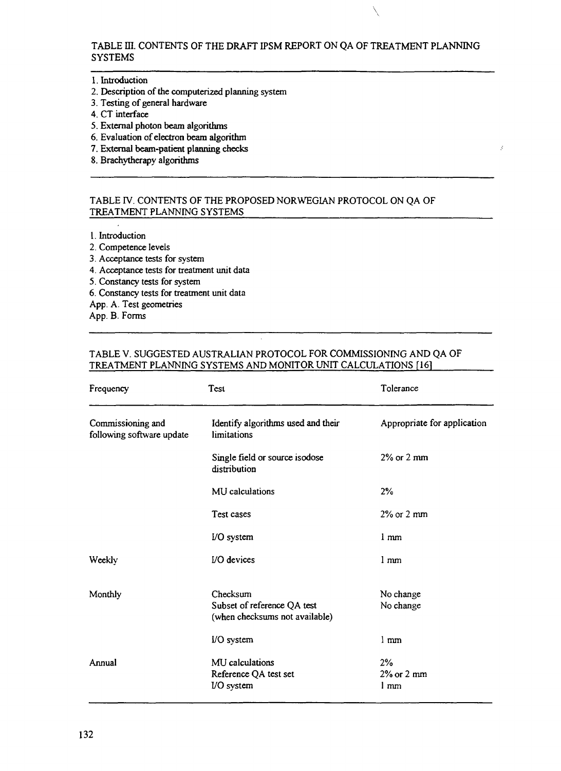TABLE ffl. CONTENTS OF THE DRAFT IPSM REPORT ON QA OF TREATMENT PLANNING SYSTEMS

Ŋ

#### 1. Introduction

- 2. Description of the computerized planning system
- 3. Testing of general hardware
- 4. CT interface
- 5. External photon beam algorithms
- 6. Evaluation of electron beam algorithm
- 7. External beam-patient planning checks
- 8. Brachytherapy algorithms

### TABLE IV. CONTENTS OF THE PROPOSED NORWEGIAN PROTOCOL ON QA OF TREATMENT PLANNING SYSTEMS

1. Introduction

- 2. Competence levels
- 3. Acceptance tests for system
- 4. Acceptance tests for treatment unit data
- 5. Constancy tests for system
- 6. Constancy tests for treatment unit data
- App. A. Test geometries

App. B. Forms

### TABLE V. SUGGESTED AUSTRALIAN PROTOCOL FOR COMMISSIONING AND QA OF TREATMENT PLANNING SYSTEMS AND MONITOR UNIT CALCULATIONS [16]

| Frequency                                      | Test                                                                      | Tolerance                                        |
|------------------------------------------------|---------------------------------------------------------------------------|--------------------------------------------------|
| Commissioning and<br>following software update | Identify algorithms used and their<br>limitations                         | Appropriate for application                      |
|                                                | Single field or source isodose<br>distribution                            | $2\%$ or $2 \text{ mm}$                          |
|                                                | MU calculations                                                           | 2%                                               |
|                                                | Test cases                                                                | $2\%$ or $2 \text{ mm}$                          |
|                                                | I/O system                                                                | 1 <sub>mm</sub>                                  |
| Weekly                                         | I/O devices                                                               | $1 \text{ mm}$                                   |
| Monthly                                        | Checksum<br>Subset of reference QA test<br>(when checksums not available) | No change<br>No change                           |
|                                                | I/O system                                                                | $1 \text{ mm}$                                   |
| Annual                                         | MU calculations<br>Reference QA test set<br><b>I/O</b> system             | 2%<br>$2\%$ or $2 \text{ mm}$<br>1 <sub>mm</sub> |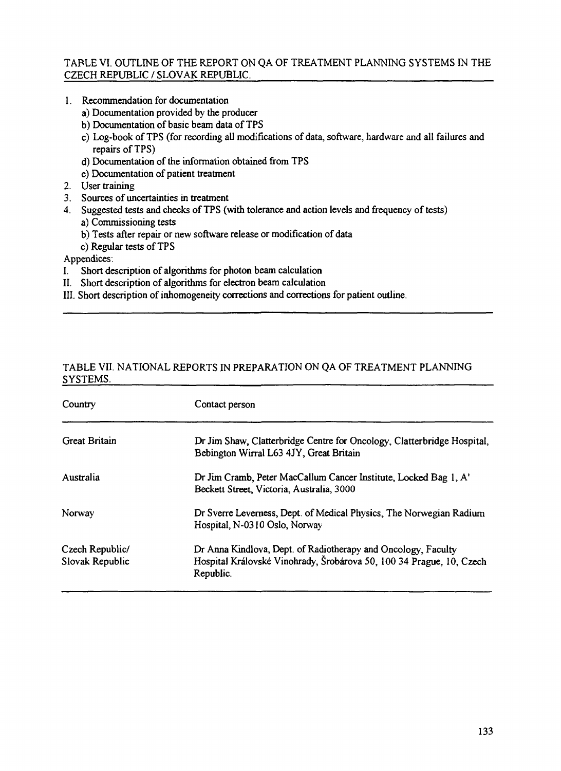### TAPLE VI. OUTLINE OF THE REPORT ON QA OF TREATMENT PLANNING SYSTEMS IN THE CZECH REPUBLIC / SLOVAK REPUBLIC.

- 1. Recommendation for documentation
	- a) Documentation provided by the producer
	- b) Documentation of basic beam data of TPS
	- c) Log-book of TPS (for recording all modifications of data, software, hardware and all failures and repairs of TPS)
	- d) Documentation of the information obtained from TPS
	- e) Documentation of patient treatment
- 2. User training
- 3. Sources of uncertainties in treatment
- 4. Suggested tests and checks of TPS (with tolerance and action levels and frequency of tests) a) Commissioning tests
	- b) Tests after repair or new software release or modification of data
	- c) Regular tests of TPS

Appendices:

- I. Short description of algorithms for photon beam calculation
- II. Short description of algorithms for electron beam calculation
- III. Short description of inhomogeneity corrections and corrections for patient outline.

### TABLE VII. NATIONAL REPORTS IN PREPARATION ON QA OF TREATMENT PLANNING SYSTEMS.

| Country                            | Contact person                                                                                                                                     |  |
|------------------------------------|----------------------------------------------------------------------------------------------------------------------------------------------------|--|
| <b>Great Britain</b>               | Dr Jim Shaw, Clatterbridge Centre for Oncology, Clatterbridge Hospital,<br>Bebington Wirral L63 4JY, Great Britain                                 |  |
| Australia                          | Dr Jim Cramb, Peter MacCallum Cancer Institute, Locked Bag 1, A'<br>Beckett Street, Victoria, Australia, 3000                                      |  |
| Norway                             | Dr Sverre Leverness, Dept. of Medical Physics, The Norwegian Radium<br>Hospital, N-0310 Oslo, Norway                                               |  |
| Czech Republic/<br>Slovak Republic | Dr Anna Kindlova, Dept. of Radiotherapy and Oncology, Faculty<br>Hospital Královské Vinohrady, Šrobárova 50, 100 34 Prague, 10, Czech<br>Republic. |  |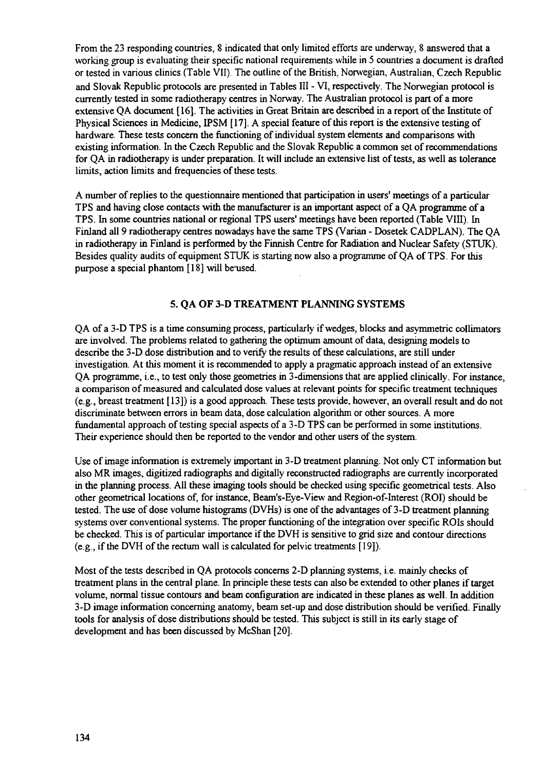From the 23 responding countries, 8 indicated that only limited efforts are underway, 8 answered that a working group is evaluating their specific national requirements while in 5 countries a document is drafted or tested in various clinics (Table VII). The outline of the British, Norwegian, Australian, Czech Republic and Slovak Republic protocols are presented in Tables III - VI, respectively. The Norwegian protocol is currently tested in some radiotherapy centres in Norway. The Australian protocol is part of a more extensive QA document [16]. The activities in Great Britain are described in a report of the Institute of Physical Sciences in Medicine, IPSM [17]. A special feature of this report is the extensive testing of hardware. These tests concern the functioning of individual system elements and comparisons with existing information. In the Czech Republic and the Slovak Republic a common set of recommendations for QA in radiotherapy is under preparation. It will include an extensive list of tests, as well as tolerance limits, action limits and frequencies of these tests.

A number of replies to the questionnaire mentioned that participation in users' meetings of a particular TPS and having close contacts with the manufacturer is an important aspect of a QA programme of a TPS. In some countries national or regional TPS users' meetings have been reported (Table VIII). In Finland all 9 radiotherapy centres nowadays have the same TPS (Varian - Dosetek CADPLAN). The QA in radiotherapy in Finland is performed by the Finnish Centre for Radiation and Nuclear Safety (STUK). Besides quality audits of equipment STUK is starting now also a programme of QA of TPS. For this purpose a special phantom [18] will be used.

### **5. QA OF 3-D TREATMENT PLANNING SYSTEMS**

QA of a 3-D TPS is a time consuming process, particularly if wedges, blocks and asymmetric collimators are involved. The problems related to gathering the optimum amount of data, designing models to describe the 3-D dose distribution and to verify the results of these calculations, are still under investigation. At this moment it is recommended to apply a pragmatic approach instead of an extensive QA programme, i.e., to test only those geometries in 3-dimensions that are applied clinically. For instance, a comparison of measured and calculated dose values at relevant points for specific treatment techniques (e.g., breast treatment [13]) is a good approach. These tests provide, however, an overall result and do not discriminate between errors in beam data, dose calculation algorithm or other sources. A more fundamental approach of testing special aspects of a 3-D TPS can be performed in some institutions. Their experience should then be reported to the vendor and other users of the system.

Use of image information is extremely important in 3-D treatment planning. Not only CT information but also MR images, digitized radiographs and digitally reconstructed radiographs are currently incorporated in the planning process. All these imaging tools should be checked using specific geometrical tests. Also other geometrical locations of, for instance, Beam's-Eye-View and Region-of-Interest (ROI) should be tested. The use of dose volume histograms (DVHs) is one of the advantages of 3-D treatment planning systems over conventional systems. The proper functioning of the integration over specific ROIs should be checked. This is of particular importance if the DVH is sensitive to grid size and contour directions (e.g., if the DVH of the rectum wall is calculated for pelvic treatments [19]).

Most of the tests described in QA protocols concerns 2-D planning systems, i.e. mainly checks of treatment plans in the central plane. In principle these tests can also be extended to other planes if target volume, normal tissue contours and beam configuration are indicated in these planes as well. In addition 3-D image information concerning anatomy, beam set-up and dose distribution should be verified. Finally tools for analysis of dose distributions should be tested. This subject is still in its early stage of development and has been discussed by McShan [20].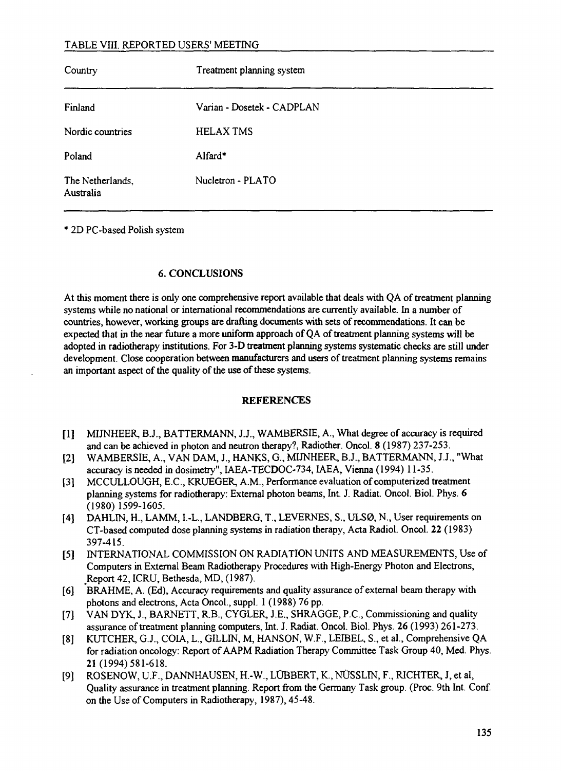## TABLE VIII. REPORTED USERS' MEETING

| Country                       | Treatment planning system  |
|-------------------------------|----------------------------|
| Finland                       | Varian - Dosetek - CADPLAN |
| Nordic countries              | <b>HELAX TMS</b>           |
| Poland                        | Alfard*                    |
| The Netherlands,<br>Australia | Nucletron - PLATO          |

2D PC-based Polish system

### 6. CONCLUSIONS

At this moment there is only one comprehensive report available that deals with QA of treatment planning systems while no national or international recommendations are currently available. In a number of countries, however, working groups are drafting documents with sets of recommendations. It can be expected that in the near future a more uniform approach of QA of treatment planning systems will be adopted in radiotherapy institutions. For 3-D treatment planning systems systematic checks are still under development. Close cooperation between manufacturers and users of treatment planning systems remains an important aspect of the quality of the use of these systems.

### **REFERENCES**

- [1] MIJNHEER, B.J., BATTERMANN, J.J., WAMBERSIE, A., What degree of accuracy is required and can be achieved in photon and neutron therapy?, Radiother. Oncol. 8 (1987) 237-253.
- [2] WAMBERSIE, A., VAN DAM, J., HANKS, G., MIJNHEER, B.J., BATTERMANN, J.J., "What accuracy is needed in dosimetry", IAEA-TECDOC-734, IAEA, Vienna (1994) 11-35.
- [3] MCCULLOUGH, E.C., KRUEGER, A.M., Performance evaluation of computerized treatment planning systems for radiotherapy: External photon beams, Int. J. Radiat. Oncol. Biol. Phys. 6 (1980) 1599-1605.
- [4] DAHLIN, H., LAMM, I.-L., LANDBERG, T., LEVERNES, S., ULSØ, N., User requirements on CT-based computed dose planning systems in radiation therapy, Acta Radiol. Oncol. 22 (1983) 397-415.
- [5] INTERNATIONAL COMMISSION ON RADIATION UNITS AND MEASUREMENTS, Use of Computers in External Beam Radiotherapy Procedures with High-Energy Photon and Electrons, .Report 42, ICRU, Bethesda, MD, (1987).
- [6] BRAHME, A. (Ed), Accuracy requirements and quality assurance of external beam therapy with photons and electrons, Acta Oncol., suppl. 1 (1988) 76 pp.
- [7] VAN DYK, J., BARNETT, R.B., CYGLER, J.E., SHRAGGE, P.C., Commissioning and quality assurance of treatment planning computers, Int. J. Radiat. Oncol. Biol. Phys. 26 (1993) 261-273.
- [8] KUTCHER, G.J., COIA, L, GILLIN, M, HANSON, W.F., LEIBEL, S., et al., Comprehensive QA for radiation oncology: Report of AAPM Radiation Therapy Committee Task Group 40, Med. Phys. 21 (1994)581-618.
- [9] ROSENOW, U.F., DANNHAUSEN, H.-W., LUBBERT, K., NUSSLIN, F., RICHTER, J, et al, Quality assurance in treatment planning. Report from the Germany Task group. (Proc. 9th Int. Conf. on the Use of Computers in Radiotherapy, 1987), 45-48.